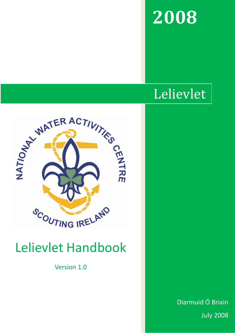# 2008

# Lelievlet



# Lelievlet Handbook

Version 1.0

Diarmuid Ó Briain July 2008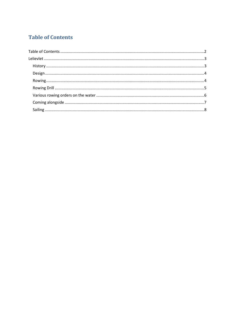# **Table of Contents**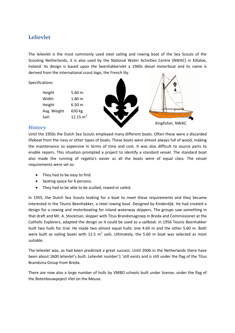# Lelievlet

The lelievlet is the most commonly used steel sailing and rowing boat of the Sea Scouts of the Scouting Netherlands, it is also used by the National Water Activities Centre (NWAC) in Killaloe, Ireland. Its design is based upon the beenhakkervlet a 1960s diesel motorboat and its name is derived from the international scout logo, the French lily.

Specifications

Height 5.60 m Width 1.80 m Height 6.50 m Avg. Weight 650 kg Sail:  $12.15 \text{ m}^2$ 



#### **History**

Until the 1950s the Dutch Sea Scouts employed many different boats. Often these were a discarded lifeboat from the navy or other types of boats. These boats were almost always full of wood, making the maintenance so expensive in terms of time and cost. It was also difficult to source parts to enable repairs. This situation prompted a project to identify a standard vessel. The standard boat also made the running of regatta's easier as all the boats were of equal class. The vessel requirements were set as:

- They had to be easy to find.
- Seating space for 6 persons.
- They had to be able to be sculled, rowed or sailed.

In 1955, the Dutch Sea Scouts looking for a boat to meet these requirements and they became interested in the Teunis Beenhakker, a steel rowing boat. Designed by Kinderdijk. He had created a design for a rowing and motorboating for inland waterway skippers. The groups saw something in that draft and Mr. A. Stockman, skipper with Titus Brandsmagroep in Breda and Commissioner at the Catholic Explorers, adapted the design so it could be used as a sailboat. In 1956 Teunis Beenhakker built two hulls for trial. He made two almost equal hulls: one 4.60 m and the other 5.60 m. Both were built as sailing boats with 12.5  $m^2$  sails. Ultimately, the 5.60 m boat was selected as most suitable.

The lelievlet was, as had been predicted a great success. Until 2006 in the Netherlands there have been about 1600 lelievlet's built. Lelievlet number'1 'still exists and is still under the flag of the Titus Brandsma Group from Breda.

There are now also a large number of hulls by VMBO schools built under license, under the flag of the Botenbouwpoject Vlet on the Meuse.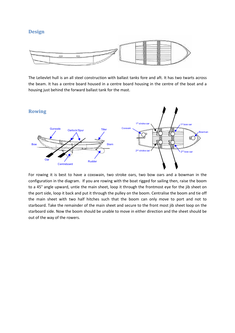#### Design



The Lelievlet hull is an all steel construction with ballast tanks fore and aft. It has two twarts across the beam. It has a centre board housed in a centre board housing in the centre of the boat and a housing just behind the forward ballast tank for the mast.



For rowing it is best to have a coxswain, two stroke oars, two bow oars and a bowman in the configuration in the diagram. If you are rowing with the boat rigged for sailing then, raise the boom to a 45° angle upward, untie the main sheet, loop it through the frontmost eye for the jib sheet on the port side, loop it back and put it through the pulley on the boom. Centralise the boom and tie off the main sheet with two half hitches such that the boom can only move to port and not to starboard. Take the remainder of the main sheet and secure to the front most jib sheet loop on the starboard side. Now the boom should be unable to move in either direction and the sheet should be out of the way of the rowers.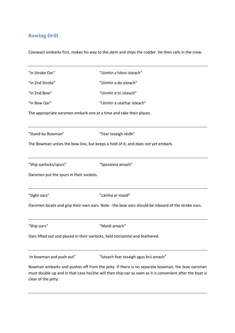# Rowing Drill

Coxswain embarks first, makes his way to the stem and ships the rudder. He then calls in the crew.

| "In Stroke Oar"                         | "Uimhir a hAon isteach"                                                                                                                                                                                  |
|-----------------------------------------|----------------------------------------------------------------------------------------------------------------------------------------------------------------------------------------------------------|
| "In 2nd Stroke"                         | "Uimhir a do isteach"                                                                                                                                                                                    |
| "In 2nd Bow"                            | "Uimhir a tri isteach"                                                                                                                                                                                   |
| "In Bow Oar"                            | "Uimhir a ceathar isteach"                                                                                                                                                                               |
|                                         | The appropriate oarsmen embark one at a time and take their places.                                                                                                                                      |
| "Stand-by Bowman"                       | "Fear tosaigh réidh"                                                                                                                                                                                     |
|                                         | The Bowman unties the bow line, but keeps a hold of it, and does not yet embark.                                                                                                                         |
| "Ship oarlocks/spurs"                   | "Sporanna amach"                                                                                                                                                                                         |
| Oarsmen put the spurs in their sockets. |                                                                                                                                                                                                          |
| "Sight oars"                            | "Lámha ar maidí"                                                                                                                                                                                         |
|                                         | Oarsmen locate and grip their own oars. Note - the bow oars should be inboard of the stroke oars.                                                                                                        |
| "Ship oars"                             | "Maidí amach"                                                                                                                                                                                            |
|                                         | Oars lifted out and placed in their oarlocks, held horizontal and feathered.                                                                                                                             |
| -In bowman and push out"                | "Isteach fear tosaigh agus brú amach"                                                                                                                                                                    |
| clear of the jetty.                     | Bowman embarks and pushes off from the jetty. If there is no separate bowman, the bow oarsman<br>must double up and in that case he/she will then ship oar as soon as it is convenient after the boat is |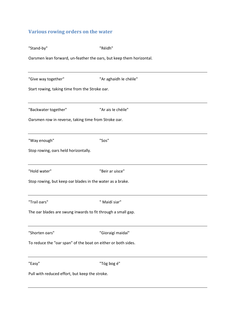# Various rowing orders on the water

| "Stand-by"                                                           | "Réidh"                |  |  |  |  |  |
|----------------------------------------------------------------------|------------------------|--|--|--|--|--|
| Oarsmen lean forward, un-feather the oars, but keep them horizontal. |                        |  |  |  |  |  |
| "Give way together"                                                  | "Ar aghaidh le chéile" |  |  |  |  |  |
| Start rowing, taking time from the Stroke oar.                       |                        |  |  |  |  |  |
| "Backwater together"                                                 | "Ar ais le chéile"     |  |  |  |  |  |
| Oarsmen row in reverse, taking time from Stroke oar.                 |                        |  |  |  |  |  |
| "Way enough"                                                         | "Sos"                  |  |  |  |  |  |
| Stop rowing, oars held horizontally.                                 |                        |  |  |  |  |  |
| "Hold water"                                                         | "Beir ar uisce"        |  |  |  |  |  |
| Stop rowing, but keep oar blades in the water as a brake.            |                        |  |  |  |  |  |
| "Trail oars"                                                         | " Maidí siar"          |  |  |  |  |  |
| The oar blades are swung inwards to fit through a small gap.         |                        |  |  |  |  |  |
| "Shorten oars"                                                       | "Gioraigí maidaí"      |  |  |  |  |  |
| To reduce the "oar span" of the boat on either or both sides.        |                        |  |  |  |  |  |
| "Easy"                                                               | "Tóg bog é"            |  |  |  |  |  |
| Pull with reduced effort, but keep the stroke.                       |                        |  |  |  |  |  |

| "Trail oars" |  |
|--------------|--|
|              |  |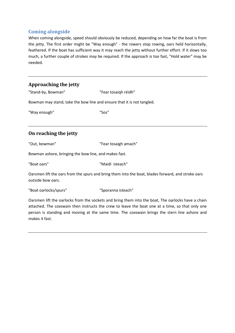# Coming alongside

When coming alongside, speed should obviously be reduced, depending on how far the boat is from the jetty. The first order might be "Way enough" - the rowers stop rowing, oars held horizontally, feathered. If the boat has sufficient way it may reach the jetty without further effort. If it slows too much, a further couple of strokes may be required. If the approach is too fast, "Hold water" may be needed.

### Approaching the jetty

"Stand-by, Bowman" "Fear tosaiqh réidh"

Bowman may stand, take the bow line and ensure that it is not tangled.

"Way enough" "Sos"

# On reaching the jetty

"Out, bowman" "Fear tosaigh amach"

Bowman ashore, bringing the bow line, and makes fast.

"Boat oars" "Maidí isteach"

Oarsmen lift the oars from the spurs and bring them into the boat, blades forward, and stroke oars outside bow oars.

"Boat oarlocks/spurs" "Sporanna isteach"

Oarsmen lift the oarlocks from the sockets and bring them into the boat, The oarlocks have a chain attached. The coxswain then instructs the crew to leave the boat one at a time, so that only one person is standing and moving at the same time. The coxswain brings the stern line ashore and makes it fast.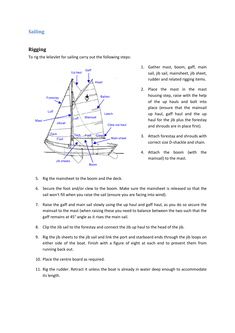# Sailing

### Rigging

To rig the lelievlet for sailing carry out the following steps:



- 1. Gather mast, boom, gaff, main sail, jib sail, mainsheet, jib sheet, rudder and related rigging items.
- 2. Place the mast in the mast housing step, raise with the help of the up hauls and bolt into place (ensure that the mainsail up haul, gaff haul and the up haul for the jib plus the forestay and shrouds are in place first).
- 3. Attach forestay and shrouds with correct size D-shackle and chain.
- 4. Attach the boom (with the mainsail) to the mast.
- 5. Rig the mainsheet to the boom and the deck.
- 6. Secure the foot and/or clew to the boom. Make sure the mainsheet is released so that the sail won't fill when you raise the sail (ensure you are facing into wind).
- 7. Raise the gaff and main sail slowly using the up haul and gaff haul, as you do so secure the mainsail to the mast (when raising these you need to balance between the two such that the gaff remains at 45° angle as it rises the main sail.
- 8. Clip the Jib sail to the forestay and connect the Jib up haul to the head of the jib.
- 9. Rig the jib sheets to the jib sail and link the port and starboard ends through the jib loops on either side of the boat. Finish with a figure of eight at each end to prevent them from running back out.
- 10. Place the centre board as required.
- 11. Rig the rudder. Retract it unless the boat is already in water deep enough to accommodate its length.